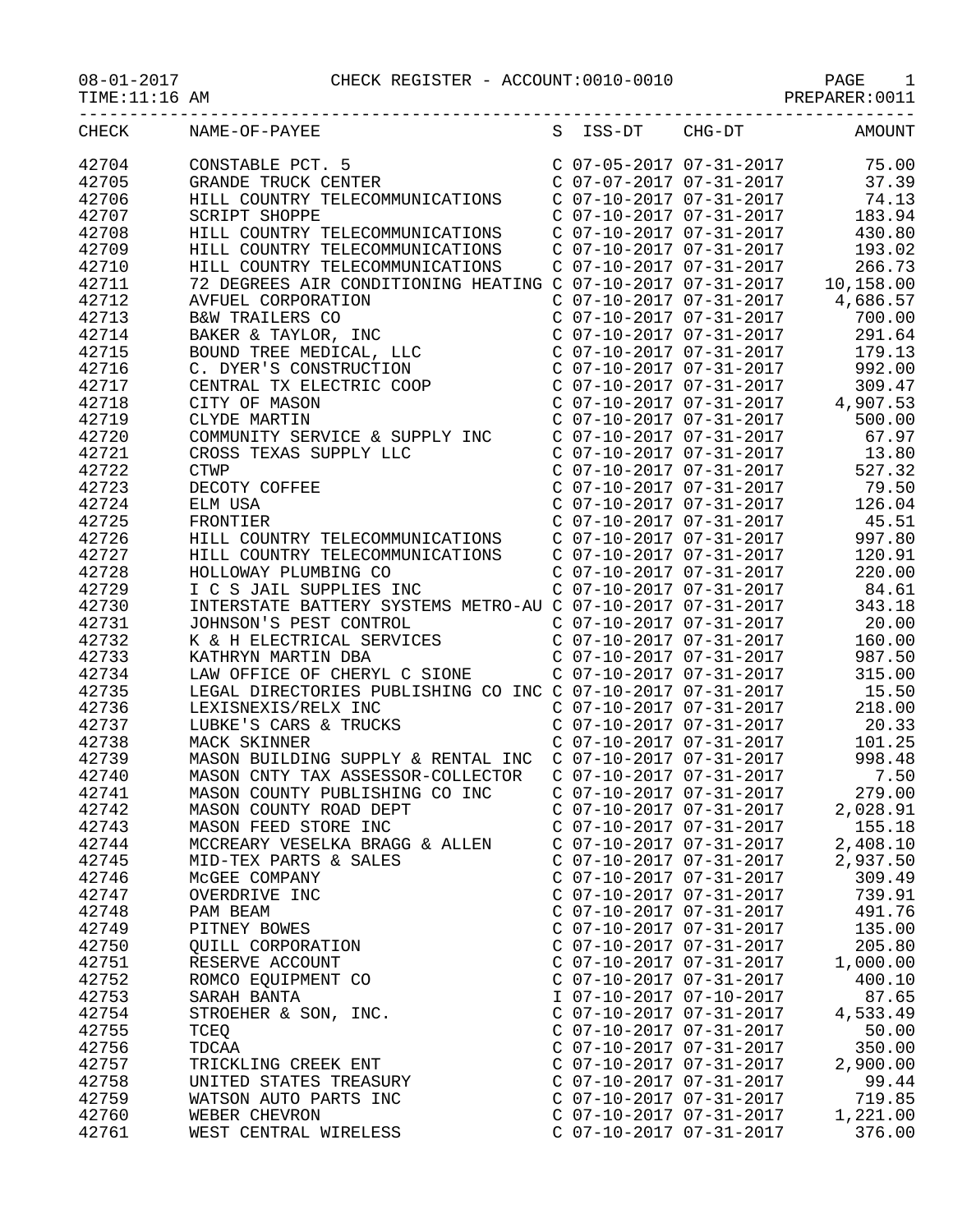| $08 - 01 - 2017$<br>TIME:11:16 AM | CHECK REGISTER - ACCOUNT:0010-0010 PAGE 1<br>PREPARER:0011                                                                                                                                                    |                                                                               |                                                                |
|-----------------------------------|---------------------------------------------------------------------------------------------------------------------------------------------------------------------------------------------------------------|-------------------------------------------------------------------------------|----------------------------------------------------------------|
| CHECK                             | NAME-OF-PAYEE                                                                                                                                                                                                 | S ISS-DT CHG-DT                                                               | <b>AMOUNT</b>                                                  |
| 42704                             | CONSTABLE PCT. 5                                                                                                                                                                                              |                                                                               | C 07-05-2017 07-31-2017 75.00<br>C 07-07-2017 07-31-2017 37.39 |
| 42705                             | GRANDE TRUCK CENTER                                                                                                                                                                                           |                                                                               |                                                                |
| 42706                             | HILL COUNTRY TELECOMMUNICATIONS                                                                                                                                                                               |                                                                               | $C$ 07-10-2017 07-31-2017 74.13                                |
| 42707                             | <b>SCRIPT SHOPPE</b>                                                                                                                                                                                          |                                                                               | C 07-10-2017 07-31-2017 183.94                                 |
| 42708                             | HILL COUNTRY TELECOMMUNICATIONS                                                                                                                                                                               |                                                                               | C 07-10-2017 07-31-2017 430.80                                 |
| 42709                             |                                                                                                                                                                                                               |                                                                               |                                                                |
| 42710                             | HILL COUNTRY TELECOMMUNICATIONS<br>HILL COUNTRY TELECOMMUNICATIONS C 07-10-2017 07-31-2017 266.73<br>72 DEGREES AIR CONDITIONING HEATING C 07-10-2017 07-31-2017 10,158.00<br>HILL COUNTRY TELECOMMUNICATIONS |                                                                               |                                                                |
| 42711                             |                                                                                                                                                                                                               |                                                                               |                                                                |
| 42712                             | AVFUEL CORPORATION                                                                                                                                                                                            | $C$ 07-10-2017 07-31-2017                                                     | 4,686.57                                                       |
| 42713                             | B&W TRAILERS CO<br>BAKER & TAYLOR, INC<br>BOUND TREE MEDICAL, LLC<br>C. DYER'S CONSTRUCTION<br>CENTRAL TX ELECTRIC COOP                                                                                       | C 07-10-2017 07-31-2017                                                       | 700.00                                                         |
| 42714                             |                                                                                                                                                                                                               | C 07-10-2017 07-31-2017<br>C 07-10-2017 07-31-2017<br>C 07-10-2017 07-31-2017 | 291.64                                                         |
| 42715                             |                                                                                                                                                                                                               |                                                                               | 179.13                                                         |
| 42716                             |                                                                                                                                                                                                               | $C$ 07-10-2017 07-31-2017                                                     | 992.00                                                         |
| 42717                             |                                                                                                                                                                                                               |                                                                               | 309.47<br>$C$ 07-10-2017 07-31-2017 4,907.53                   |
| 42718                             | CITY OF MASON                                                                                                                                                                                                 |                                                                               |                                                                |
| 42719<br>42720                    | CLYDE MARTIN                                                                                                                                                                                                  | C 07-10-2017 07-31-2017                                                       | 500.00<br>67.97                                                |
| 42721                             | COMMUNITY SERVICE & SUPPLY INC<br>CROSS TEXAS SUPPLY LLC                                                                                                                                                      | C 07-10-2017 07-31-2017<br>C 07-10-2017 07-31-2017                            | 13.80                                                          |
| 42722                             | <b>CTWP</b>                                                                                                                                                                                                   |                                                                               | $C$ $07 - 10 - 2017$ $07 - 31 - 2017$ $527.32$                 |
| 42723                             | DECOTY COFFEE                                                                                                                                                                                                 |                                                                               | C 07-10-2017 07-31-2017 79.50                                  |
| 42724                             | ELM USA                                                                                                                                                                                                       | C 07-10-2017 07-31-2017                                                       | 126.04                                                         |
| 42725                             | FRONTIER                                                                                                                                                                                                      | $C$ 07-10-2017 07-31-2017                                                     | 45.51                                                          |
| 42726                             |                                                                                                                                                                                                               |                                                                               | 997.80                                                         |
| 42727                             | HILL COUNTRY TELECOMMUNICATIONS<br>HILL COUNTRY TELECOMMUNICATIONS                                                                                                                                            | C 07-10-2017 07-31-2017<br>C 07-10-2017 07-31-2017                            | 120.91                                                         |
| 42728                             | HOLLOWAY PLUMBING CO                                                                                                                                                                                          | C 07-10-2017 07-31-2017                                                       | 220.00                                                         |
| 42729                             | I C S JAIL SUPPLIES INC                                                                                                                                                                                       | C 07-10-2017 07-31-2017                                                       | 84.61                                                          |
| 42730                             | INTERSTATE BATTERY SYSTEMS METRO-AU C 07-10-2017 07-31-2017                                                                                                                                                   |                                                                               | 343.18                                                         |
| 42731                             | JOHNSON'S PEST CONTROL                                                                                                                                                                                        | $C$ 07-10-2017 07-31-2017                                                     | 20.00                                                          |
| 42732                             | JOHNSON'S PEST CONTROL<br>K & H ELECTRICAL SERVICES<br>KATHRYN MARTIN DRA                                                                                                                                     | $C$ 07-10-2017 07-31-2017                                                     | 160.00                                                         |
| 42733                             | KATHRYN MARTIN DBA                                                                                                                                                                                            | $C$ 07-10-2017 07-31-2017                                                     | 987.50                                                         |
| 42734                             | LAW OFFICE OF CHERYL C SIONE                                                                                                                                                                                  | $C$ 07-10-2017 07-31-2017                                                     | 315.00                                                         |
| 42735                             | LEGAL DIRECTORIES PUBLISHING CO INC C 07-10-2017 07-31-2017                                                                                                                                                   |                                                                               | 15.50                                                          |
| 42736                             | LEXISNEXIS/RELX INC                                                                                                                                                                                           | C 07-10-2017 07-31-2017                                                       | 218.00                                                         |
| 42737                             | LUBKE'S CARS & TRUCKS                                                                                                                                                                                         | C 07-10-2017 07-31-2017<br>C 07-10-2017 07-31-2017                            | 20.33                                                          |
| 42738                             | MACK SKINNER                                                                                                                                                                                                  |                                                                               | 101.25                                                         |
| 42739                             | MASON BUILDING SUPPLY & RENTAL INC C 07-10-2017 07-31-2017                                                                                                                                                    |                                                                               | 998.48                                                         |
| 42740                             | MASON CNTY TAX ASSESSOR-COLLECTOR                                                                                                                                                                             | C 07-10-2017 07-31-2017                                                       | 7.50                                                           |
| 42741                             | MASON COUNTY PUBLISHING CO INC                                                                                                                                                                                | C 07-10-2017 07-31-2017                                                       | 279.00                                                         |
| 42742                             | MASON COUNTY ROAD DEPT                                                                                                                                                                                        | $C$ 07-10-2017 07-31-2017                                                     | 2,028.91                                                       |
| 42743<br>42744                    | MASON FEED STORE INC<br>MCCREARY VESELKA BRAGG & ALLEN                                                                                                                                                        | $C$ 07-10-2017 07-31-2017<br>$C$ 07-10-2017 07-31-2017                        | 155.18<br>2,408.10                                             |
| 42745                             | MID-TEX PARTS & SALES                                                                                                                                                                                         | $C$ 07-10-2017 07-31-2017                                                     | 2,937.50                                                       |
| 42746                             | MCGEE COMPANY                                                                                                                                                                                                 | $C$ 07-10-2017 07-31-2017                                                     | 309.49                                                         |
| 42747                             | OVERDRIVE INC                                                                                                                                                                                                 | $C$ 07-10-2017 07-31-2017                                                     | 739.91                                                         |
| 42748                             | PAM BEAM                                                                                                                                                                                                      | $C$ 07-10-2017 07-31-2017                                                     | 491.76                                                         |
| 42749                             | PITNEY BOWES                                                                                                                                                                                                  | C 07-10-2017 07-31-2017                                                       | 135.00                                                         |
| 42750                             | QUILL CORPORATION                                                                                                                                                                                             | C 07-10-2017 07-31-2017                                                       | 205.80                                                         |
| 42751                             | RESERVE ACCOUNT                                                                                                                                                                                               | $C$ 07-10-2017 07-31-2017                                                     | 1,000.00                                                       |
| 42752                             | ROMCO EQUIPMENT CO                                                                                                                                                                                            | $C$ 07-10-2017 07-31-2017                                                     | 400.10                                                         |
| 42753                             | SARAH BANTA                                                                                                                                                                                                   | I 07-10-2017 07-10-2017                                                       | 87.65                                                          |
| 42754                             | STROEHER & SON, INC.                                                                                                                                                                                          | $C$ 07-10-2017 07-31-2017                                                     | 4,533.49                                                       |
| 42755                             | TCEQ                                                                                                                                                                                                          | $C$ 07-10-2017 07-31-2017                                                     | 50.00                                                          |
| 42756                             | TDCAA                                                                                                                                                                                                         | $C$ 07-10-2017 07-31-2017                                                     | 350.00                                                         |
| 42757                             | TRICKLING CREEK ENT                                                                                                                                                                                           | $C$ 07-10-2017 07-31-2017                                                     | 2,900.00                                                       |
| 42758                             | UNITED STATES TREASURY                                                                                                                                                                                        | C 07-10-2017 07-31-2017                                                       | 99.44                                                          |
| 42759                             | WATSON AUTO PARTS INC                                                                                                                                                                                         | C 07-10-2017 07-31-2017                                                       | 719.85                                                         |
| 42760                             | WEBER CHEVRON                                                                                                                                                                                                 | C 07-10-2017 07-31-2017                                                       | 1,221.00                                                       |
| 42761                             | WEST CENTRAL WIRELESS                                                                                                                                                                                         | C 07-10-2017 07-31-2017                                                       | 376.00                                                         |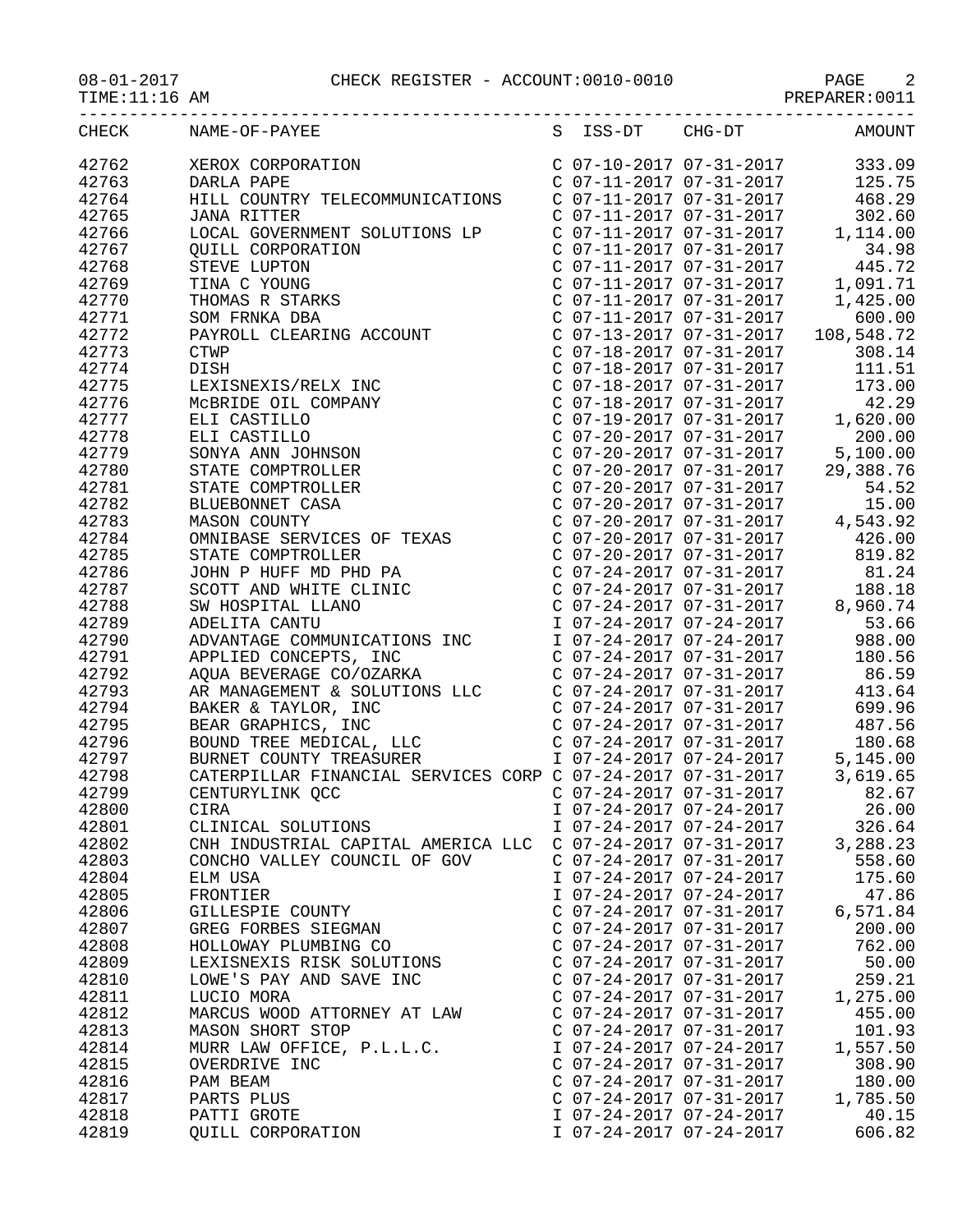## 08-01-2017 CHECK REGISTER - ACCOUNT:0010-0010 PAGE 2

TIME:11:16 AM PREPARER:0011

|       | S ISS-DT CHG-DT AMOUNT<br>CHECK NAME-OF-PAYEE              |                           |                         |          |
|-------|------------------------------------------------------------|---------------------------|-------------------------|----------|
| 42762 |                                                            |                           |                         |          |
| 42763 |                                                            |                           |                         |          |
| 42764 |                                                            |                           |                         |          |
| 42765 |                                                            |                           |                         |          |
| 42766 |                                                            |                           |                         |          |
| 42767 |                                                            |                           |                         |          |
| 42768 |                                                            |                           |                         |          |
| 42769 |                                                            |                           |                         |          |
| 42770 |                                                            |                           |                         |          |
| 42771 |                                                            |                           |                         |          |
| 42772 |                                                            |                           |                         |          |
| 42773 |                                                            |                           |                         |          |
| 42774 |                                                            |                           |                         |          |
| 42775 |                                                            |                           |                         |          |
|       |                                                            |                           |                         |          |
| 42776 |                                                            |                           |                         |          |
| 42777 |                                                            |                           |                         |          |
| 42778 |                                                            |                           |                         |          |
| 42779 |                                                            |                           |                         |          |
| 42780 |                                                            |                           |                         |          |
| 42781 |                                                            |                           |                         |          |
| 42782 |                                                            |                           |                         |          |
| 42783 |                                                            |                           |                         |          |
| 42784 |                                                            |                           |                         |          |
| 42785 |                                                            |                           |                         |          |
| 42786 |                                                            |                           |                         |          |
| 42787 |                                                            |                           |                         |          |
| 42788 |                                                            |                           |                         |          |
| 42789 |                                                            |                           |                         |          |
| 42790 |                                                            |                           |                         |          |
| 42791 |                                                            |                           |                         |          |
| 42792 |                                                            |                           |                         |          |
| 42793 |                                                            |                           |                         |          |
| 42794 |                                                            |                           |                         |          |
| 42795 |                                                            |                           |                         |          |
| 42796 |                                                            |                           |                         |          |
| 42797 |                                                            |                           |                         |          |
| 42798 |                                                            |                           |                         |          |
| 42799 |                                                            |                           |                         |          |
| 42800 | CIRA                                                       |                           | I 07-24-2017 07-24-2017 | 26.00    |
| 42801 | CLINICAL SOLUTIONS                                         | I 07-24-2017 07-24-2017   |                         | 326.64   |
| 42802 | CNH INDUSTRIAL CAPITAL AMERICA LLC C 07-24-2017 07-31-2017 |                           |                         | 3,288.23 |
| 42803 | CONCHO VALLEY COUNCIL OF GOV                               | $C$ 07-24-2017 07-31-2017 |                         | 558.60   |
| 42804 | ELM USA                                                    | I 07-24-2017 07-24-2017   |                         | 175.60   |
| 42805 | FRONTIER                                                   | I 07-24-2017 07-24-2017   |                         | 47.86    |
|       |                                                            | $C$ 07-24-2017 07-31-2017 |                         |          |
| 42806 | GILLESPIE COUNTY                                           |                           |                         | 6,571.84 |
| 42807 | GREG FORBES SIEGMAN                                        | $C$ 07-24-2017 07-31-2017 |                         | 200.00   |
| 42808 | HOLLOWAY PLUMBING CO                                       | C 07-24-2017 07-31-2017   |                         | 762.00   |
| 42809 | LEXISNEXIS RISK SOLUTIONS                                  | C 07-24-2017 07-31-2017   |                         | 50.00    |
| 42810 | LOWE'S PAY AND SAVE INC                                    | $C$ 07-24-2017 07-31-2017 |                         | 259.21   |
| 42811 | LUCIO MORA                                                 | $C$ 07-24-2017 07-31-2017 |                         | 1,275.00 |
| 42812 | MARCUS WOOD ATTORNEY AT LAW                                | $C$ 07-24-2017 07-31-2017 |                         | 455.00   |
| 42813 | MASON SHORT STOP                                           | $C$ 07-24-2017 07-31-2017 |                         | 101.93   |
| 42814 | MURR LAW OFFICE, P.L.L.C.                                  | I 07-24-2017 07-24-2017   |                         | 1,557.50 |
| 42815 | OVERDRIVE INC                                              | $C$ 07-24-2017 07-31-2017 |                         | 308.90   |
| 42816 | PAM BEAM                                                   | $C$ 07-24-2017 07-31-2017 |                         | 180.00   |
| 42817 | PARTS PLUS                                                 | C 07-24-2017 07-31-2017   |                         | 1,785.50 |
| 42818 | PATTI GROTE                                                | I 07-24-2017 07-24-2017   |                         | 40.15    |
| 42819 | QUILL CORPORATION                                          | I 07-24-2017 07-24-2017   |                         | 606.82   |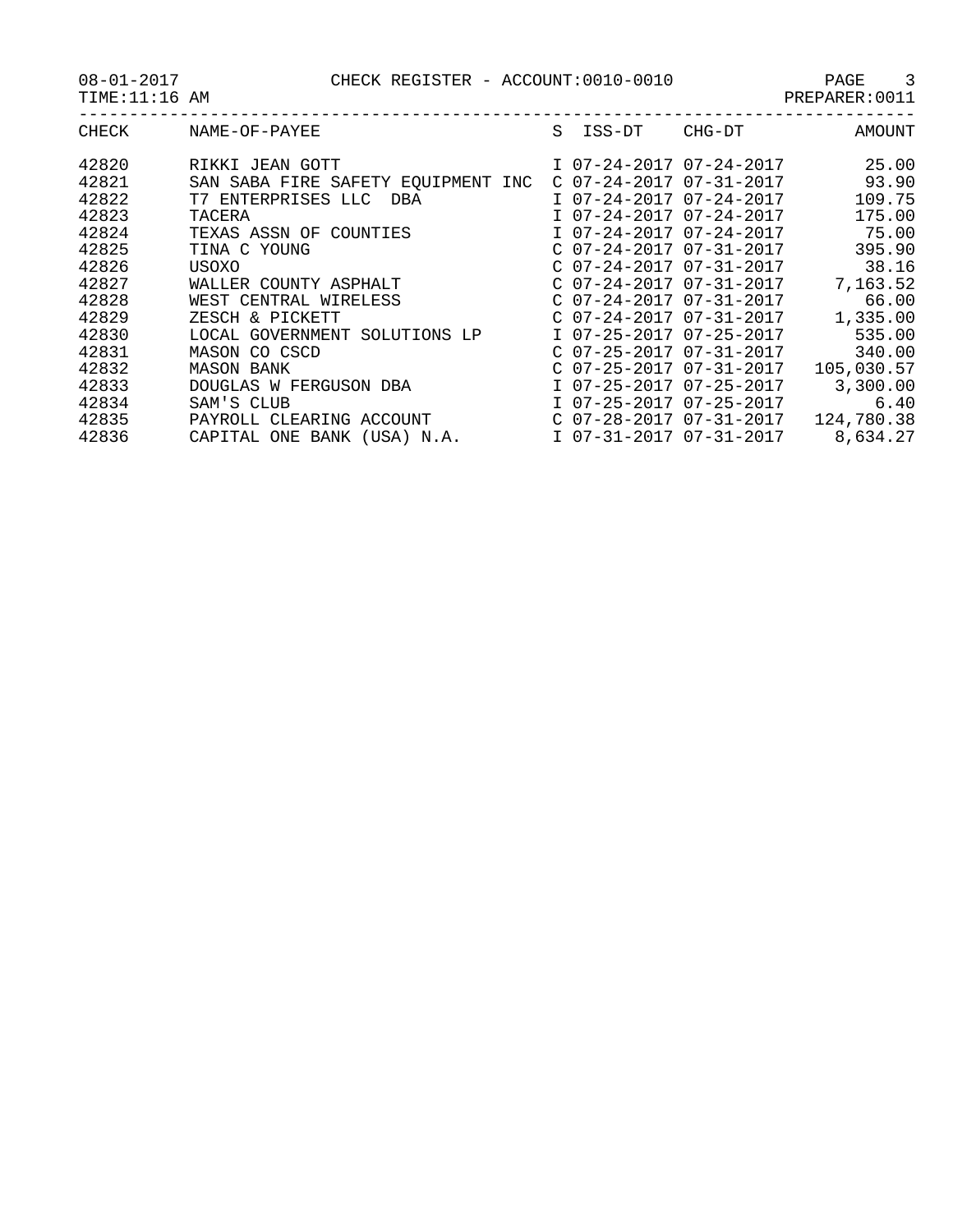08-01-2017 CHECK REGISTER - ACCOUNT:0010-0010 PAGE 3

PAGE<br>PREPARER:0011<br>------------

|  |  | PR |
|--|--|----|
|  |  |    |

| CHECK | NAME-OF-PAYEE                         | S | ISS-DT | CHG-DT                    | AMOUNT     |
|-------|---------------------------------------|---|--------|---------------------------|------------|
| 42820 | RIKKI JEAN GOTT                       |   |        | I 07-24-2017 07-24-2017   | 25.00      |
| 42821 | SAN SABA FIRE SAFETY EOUIPMENT<br>INC |   |        | $C$ 07-24-2017 07-31-2017 | 93.90      |
| 42822 | T7 ENTERPRISES LLC<br>DBA             |   |        | I 07-24-2017 07-24-2017   | 109.75     |
| 42823 | TACERA                                |   |        | I 07-24-2017 07-24-2017   | 175.00     |
| 42824 | TEXAS ASSN OF COUNTIES                |   |        | I 07-24-2017 07-24-2017   | 75.00      |
| 42825 | TINA C YOUNG                          |   |        | $C$ 07-24-2017 07-31-2017 | 395.90     |
| 42826 | USOXO                                 |   |        | $C$ 07-24-2017 07-31-2017 | 38.16      |
| 42827 | WALLER COUNTY ASPHALT                 |   |        | $C$ 07-24-2017 07-31-2017 | 7,163.52   |
| 42828 | WEST CENTRAL WIRELESS                 |   |        | $C$ 07-24-2017 07-31-2017 | 66.00      |
| 42829 | ZESCH & PICKETT                       |   |        | $C$ 07-24-2017 07-31-2017 | 1,335.00   |
| 42830 | LOCAL GOVERNMENT SOLUTIONS LP         |   |        | I 07-25-2017 07-25-2017   | 535.00     |
| 42831 | MASON CO CSCD                         |   |        | $C$ 07-25-2017 07-31-2017 | 340.00     |
| 42832 | <b>MASON BANK</b>                     |   |        | $C$ 07-25-2017 07-31-2017 | 105,030.57 |
| 42833 | DOUGLAS W FERGUSON DBA                |   |        | I 07-25-2017 07-25-2017   | 3,300.00   |
| 42834 | SAM'S CLUB                            |   |        | I 07-25-2017 07-25-2017   | 6.40       |
| 42835 | PAYROLL CLEARING ACCOUNT              |   |        | $C$ 07-28-2017 07-31-2017 | 124,780.38 |
| 42836 | CAPITAL ONE BANK<br>(USA) N.A.        |   |        | I 07-31-2017 07-31-2017   | 8,634.27   |
|       |                                       |   |        |                           |            |